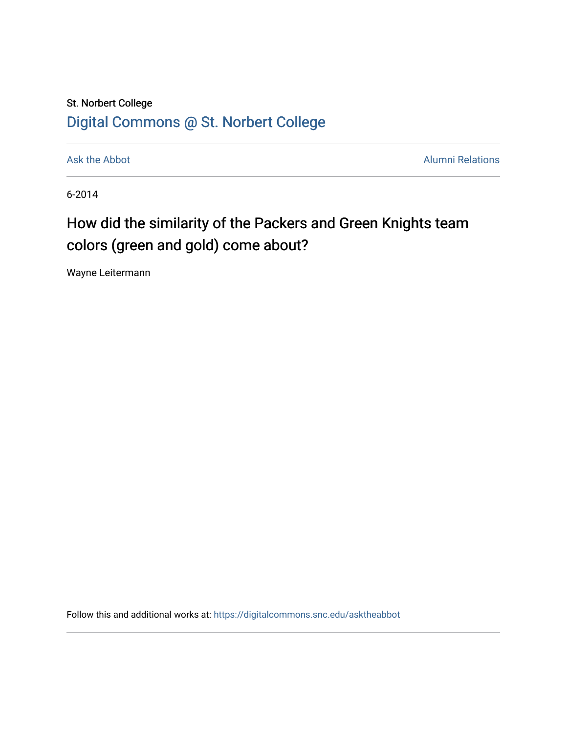## St. Norbert College [Digital Commons @ St. Norbert College](https://digitalcommons.snc.edu/)

[Ask the Abbot](https://digitalcommons.snc.edu/asktheabbot) **Alumni Relations** Alumni Relations

6-2014

# How did the similarity of the Packers and Green Knights team colors (green and gold) come about?

Wayne Leitermann

Follow this and additional works at: [https://digitalcommons.snc.edu/asktheabbot](https://digitalcommons.snc.edu/asktheabbot?utm_source=digitalcommons.snc.edu%2Fasktheabbot%2F84&utm_medium=PDF&utm_campaign=PDFCoverPages)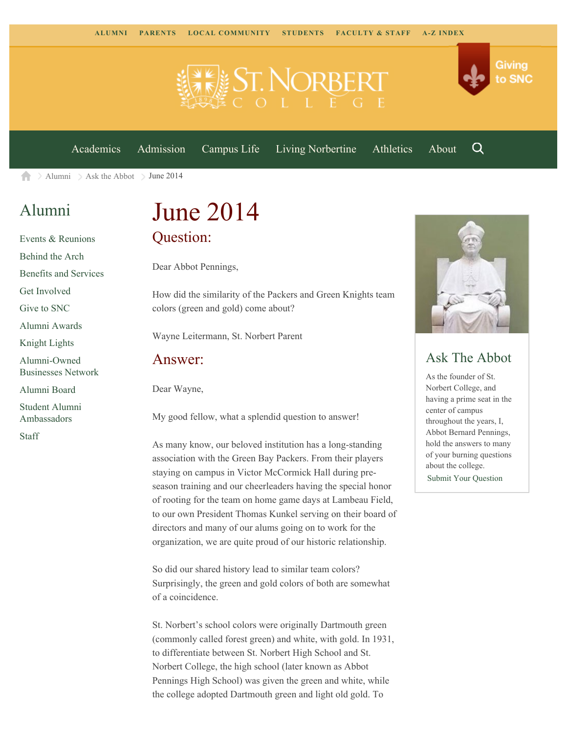

[Academics](https://www.snc.edu/academics) [Admission](https://www.snc.edu/admission) [Campus Life](https://www.snc.edu/campuslife) [Living Norbertine](https://www.snc.edu/livingnorbertine) [Athletics](https://www.snc.edu/athletics) [About](https://www.snc.edu/about)

Q

Giving

to SNC

 $\geq$  [Alumni](https://www.snc.edu/alumni/)  $\geq$  [Ask the Abbot](https://www.snc.edu/alumni/abbot/)  $\geq$  June 2014 A

## [Alumni](https://www.snc.edu/alumni/index.html)

[Events & Reunions](https://www.snc.edu/alumni/event/index.html) [Behind the Arch](https://www.snc.edu/alumni/event/behindthearch/) [Benefits and Services](https://www.snc.edu/alumni/benefits.html) [Get Involved](https://www.snc.edu/alumni/getinvolved.html) [Give to SNC](http://giving.snc.edu/) [Alumni Awards](https://www.snc.edu/alumni/awards/index.html) [Knight Lights](https://www.snc.edu/alumni/knightlights/index.html) [Alumni-Owned](https://www.snc.edu/alumni/directory/index.html) [Businesses Network](https://www.snc.edu/alumni/directory/index.html) [Alumni Board](https://www.snc.edu/alumni/alumniboard.html) [Student Alumni](https://www.snc.edu/alumni/saa.html) [Ambassadors](https://www.snc.edu/alumni/saa.html) [Staff](https://www.snc.edu/alumni/contactus.html)

# June 2014 Question:

Dear Abbot Pennings,

How did the similarity of the Packers and Green Knights team colors (green and gold) come about?

Wayne Leitermann, St. Norbert Parent

#### Answer:

Dear Wayne,

My good fellow, what a splendid question to answer!

As many know, our beloved institution has a long-standing association with the Green Bay Packers. From their players staying on campus in Victor McCormick Hall during preseason training and our cheerleaders having the special honor of rooting for the team on home game days at Lambeau Field, to our own President Thomas Kunkel serving on their board of directors and many of our alums going on to work for the organization, we are quite proud of our historic relationship.

So did our shared history lead to similar team colors? Surprisingly, the green and gold colors of both are somewhat of a coincidence.

St. Norbert's school colors were originally Dartmouth green (commonly called forest green) and white, with gold. In 1931, to differentiate between St. Norbert High School and St. Norbert College, the high school (later known as Abbot Pennings High School) was given the green and white, while the college adopted Dartmouth green and light old gold. To



### Ask The Abbot

As the founder of St. Norbert College, and having a prime seat in the center of campus throughout the years, I, Abbot Bernard Pennings, hold the answers to many of your burning questions about the college. [Submit Your Question](https://www.snc.edu/alumni/abbot/index.html)